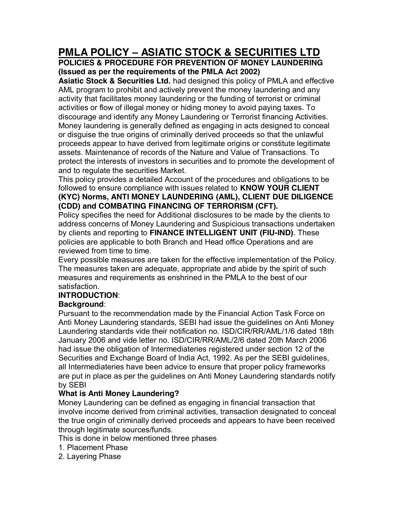# **PMLA POLICY – ASIATIC STOCK & SECURITIES LTD**

#### **POLICIES & PROCEDURE FOR PREVENTION OF MONEY LAUNDERING (Issued as per the requirements of the PMLA Act 2002)**

**Asiatic Stock & Securities Ltd.** had designed this policy of PMLA and effective AML program to prohibit and actively prevent the money laundering and any activity that facilitates money laundering or the funding of terrorist or criminal activities or flow of illegal money or hiding money to avoid paying taxes. To discourage and identify any Money Laundering or Terrorist financing Activities. Money laundering is generally defined as engaging in acts designed to conceal or disguise the true origins of criminally derived proceeds so that the unlawful proceeds appear to have derived from legitimate origins or constitute legitimate assets. Maintenance of records of the Nature and Value of Transactions. To protect the interests of investors in securities and to promote the development of and to regulate the securities Market.

This policy provides a detailed Account of the procedures and obligations to be followed to ensure compliance with issues related to **KNOW YOUR CLIENT (KYC) Norms, ANTI MONEY LAUNDERING (AML), CLIENT DUE DILIGENCE (CDD) and COMBATING FINANCING OF TERRORISM (CFT).**

Policy specifies the need for Additional disclosures to be made by the clients to address concerns of Money Laundering and Suspicious transactions undertaken by clients and reporting to **FINANCE INTELLIGENT UNIT (FIU-IND)**. These policies are applicable to both Branch and Head office Operations and are reviewed from time to time.

Every possible measures are taken for the effective implementation of the Policy. The measures taken are adequate, appropriate and abide by the spirit of such measures and requirements as enshrined in the PMLA to the best of our satisfaction.

# **INTRODUCTION**:

# **Background**:

Pursuant to the recommendation made by the Financial Action Task Force on Anti Money Laundering standards, SEBI had issue the guidelines on Anti Money Laundering standards vide their notification no. ISD/CIR/RR/AML/1/6 dated 18th January 2006 and vide letter no. ISD/CIR/RR/AML/2/6 dated 20th March 2006 had issue the obligation of Intermediateries registered under section 12 of the Securities and Exchange Board of India Act, 1992. As per the SEBI guidelines, all Intermediateries have been advice to ensure that proper policy frameworks are put in place as per the guidelines on Anti Money Laundering standards notify by SEBI

## **What is Anti Money Laundering?**

Money Laundering can be defined as engaging in financial transaction that involve income derived from criminal activities, transaction designated to conceal the true origin of criminally derived proceeds and appears to have been received through legitimate sources/funds.

This is done in below mentioned three phases

- 1. Placement Phase
- 2. Layering Phase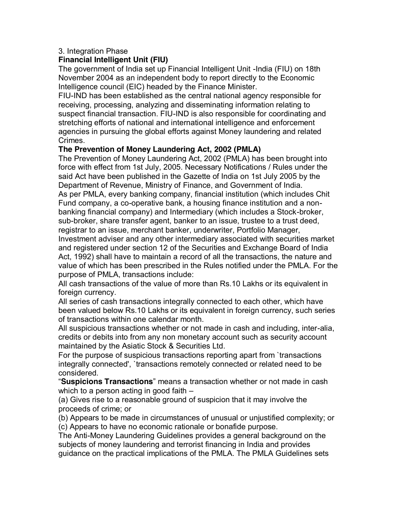#### 3. Integration Phase

#### **Financial Intelligent Unit (FIU)**

The government of India set up Financial Intelligent Unit -India (FIU) on 18th November 2004 as an independent body to report directly to the Economic Intelligence council (EIC) headed by the Finance Minister.

FIU-IND has been established as the central national agency responsible for receiving, processing, analyzing and disseminating information relating to suspect financial transaction. FIU-IND is also responsible for coordinating and stretching efforts of national and international intelligence and enforcement agencies in pursuing the global efforts against Money laundering and related Crimes.

#### **The Prevention of Money Laundering Act, 2002 (PMLA)**

The Prevention of Money Laundering Act, 2002 (PMLA) has been brought into force with effect from 1st July, 2005. Necessary Notifications / Rules under the said Act have been published in the Gazette of India on 1st July 2005 by the Department of Revenue, Ministry of Finance, and Government of India. As per PMLA, every banking company, financial institution (which includes Chit Fund company, a co-operative bank, a housing finance institution and a nonbanking financial company) and Intermediary (which includes a Stock-broker, sub-broker, share transfer agent, banker to an issue, trustee to a trust deed, registrar to an issue, merchant banker, underwriter, Portfolio Manager, Investment adviser and any other intermediary associated with securities market and registered under section 12 of the Securities and Exchange Board of India Act, 1992) shall have to maintain a record of all the transactions, the nature and value of which has been prescribed in the Rules notified under the PMLA. For the purpose of PMLA, transactions include:

All cash transactions of the value of more than Rs.10 Lakhs or its equivalent in foreign currency.

All series of cash transactions integrally connected to each other, which have been valued below Rs.10 Lakhs or its equivalent in foreign currency, such series of transactions within one calendar month.

All suspicious transactions whether or not made in cash and including, inter-alia, credits or debits into from any non monetary account such as security account maintained by the Asiatic Stock & Securities Ltd.

For the purpose of suspicious transactions reporting apart from `transactions integrally connected', `transactions remotely connected or related need to be considered.

"**Suspicions Transactions**" means a transaction whether or not made in cash which to a person acting in good faith –

(a) Gives rise to a reasonable ground of suspicion that it may involve the proceeds of crime; or

(b) Appears to be made in circumstances of unusual or unjustified complexity; or (c) Appears to have no economic rationale or bonafide purpose.

The Anti-Money Laundering Guidelines provides a general background on the subjects of money laundering and terrorist financing in India and provides guidance on the practical implications of the PMLA. The PMLA Guidelines sets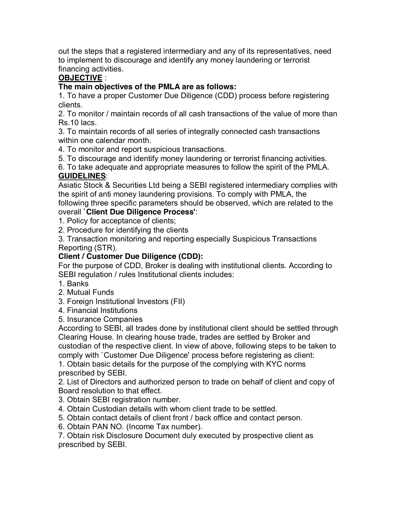out the steps that a registered intermediary and any of its representatives, need to implement to discourage and identify any money laundering or terrorist financing activities.

# **OBJECTIVE** :

# **The main objectives of the PMLA are as follows:**

1. To have a proper Customer Due Diligence (CDD) process before registering clients.

2. To monitor / maintain records of all cash transactions of the value of more than Rs.10 lacs.

3. To maintain records of all series of integrally connected cash transactions within one calendar month.

4. To monitor and report suspicious transactions.

5. To discourage and identify money laundering or terrorist financing activities.

6. To take adequate and appropriate measures to follow the spirit of the PMLA. **GUIDELINES**:

Asiatic Stock & Securities Ltd being a SEBI registered intermediary complies with the spirit of anti money laundering provisions. To comply with PMLA, the following three specific parameters should be observed, which are related to the overall **`Client Due Diligence Process'**:

1. Policy for acceptance of clients;

2. Procedure for identifying the clients

3. Transaction monitoring and reporting especially Suspicious Transactions Reporting (STR).

# **Client / Customer Due Diligence (CDD):**

For the purpose of CDD, Broker is dealing with institutional clients. According to SEBI regulation / rules Institutional clients includes:

- 1. Banks
- 2. Mutual Funds
- 3. Foreign Institutional Investors (FII)
- 4. Financial Institutions

5. Insurance Companies

According to SEBI, all trades done by institutional client should be settled through Clearing House. In clearing house trade, trades are settled by Broker and custodian of the respective client. In view of above, following steps to be taken to comply with `Customer Due Diligence' process before registering as client:

1. Obtain basic details for the purpose of the complying with KYC norms prescribed by SEBI.

2. List of Directors and authorized person to trade on behalf of client and copy of Board resolution to that effect.

- 3. Obtain SEBI registration number.
- 4. Obtain Custodian details with whom client trade to be settled.
- 5. Obtain contact details of client front / back office and contact person.
- 6. Obtain PAN NO. (Income Tax number).

7. Obtain risk Disclosure Document duly executed by prospective client as prescribed by SEBI.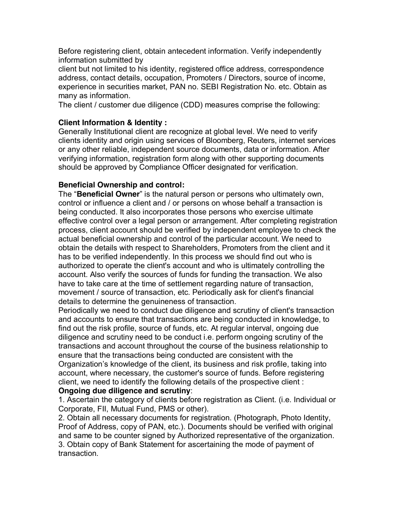Before registering client, obtain antecedent information. Verify independently information submitted by

client but not limited to his identity, registered office address, correspondence address, contact details, occupation, Promoters / Directors, source of income, experience in securities market, PAN no. SEBI Registration No. etc. Obtain as many as information.

The client / customer due diligence (CDD) measures comprise the following:

#### **Client Information & Identity :**

Generally Institutional client are recognize at global level. We need to verify clients identity and origin using services of Bloomberg, Reuters, internet services or any other reliable, independent source documents, data or information. After verifying information, registration form along with other supporting documents should be approved by Compliance Officer designated for verification.

#### **Beneficial Ownership and control:**

The "**Beneficial Owner**" is the natural person or persons who ultimately own, control or influence a client and / or persons on whose behalf a transaction is being conducted. It also incorporates those persons who exercise ultimate effective control over a legal person or arrangement. After completing registration process, client account should be verified by independent employee to check the actual beneficial ownership and control of the particular account. We need to obtain the details with respect to Shareholders, Promoters from the client and it has to be verified independently. In this process we should find out who is authorized to operate the client's account and who is ultimately controlling the account. Also verify the sources of funds for funding the transaction. We also have to take care at the time of settlement regarding nature of transaction, movement / source of transaction, etc. Periodically ask for client's financial details to determine the genuineness of transaction.

Periodically we need to conduct due diligence and scrutiny of client's transaction and accounts to ensure that transactions are being conducted in knowledge, to find out the risk profile, source of funds, etc. At regular interval, ongoing due diligence and scrutiny need to be conduct i.e. perform ongoing scrutiny of the transactions and account throughout the course of the business relationship to ensure that the transactions being conducted are consistent with the Organization's knowledge of the client, its business and risk profile, taking into account, where necessary, the customer's source of funds. Before registering client, we need to identify the following details of the prospective client : **Ongoing due diligence and scrutiny**:

1. Ascertain the category of clients before registration as Client. (i.e. Individual or Corporate, FII, Mutual Fund, PMS or other).

2. Obtain all necessary documents for registration. (Photograph, Photo Identity, Proof of Address, copy of PAN, etc.). Documents should be verified with original and same to be counter signed by Authorized representative of the organization. 3. Obtain copy of Bank Statement for ascertaining the mode of payment of transaction.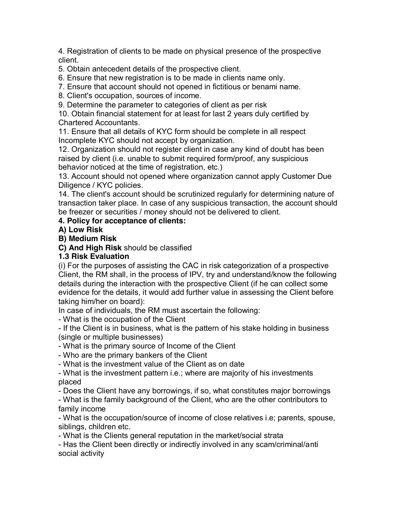4. Registration of clients to be made on physical presence of the prospective client.

5. Obtain antecedent details of the prospective client.

6. Ensure that new registration is to be made in clients name only.

7. Ensure that account should not opened in fictitious or benami name.

8. Client's occupation, sources of income.

9. Determine the parameter to categories of client as per risk

10. Obtain financial statement for at least for last 2 years duly certified by Chartered Accountants.

11. Ensure that all details of KYC form should be complete in all respect Incomplete KYC should not accept by organization.

12. Organization should not register client in case any kind of doubt has been raised by client (i.e. unable to submit required form/proof, any suspicious behavior noticed at the time of registration, etc.)

13. Account should not opened where organization cannot apply Customer Due Diligence / KYC policies.

14. The client's account should be scrutinized regularly for determining nature of transaction taker place. In case of any suspicious transaction, the account should be freezer or securities / money should not be delivered to client.

# **4. Policy for acceptance of clients:**

# **A) Low Risk**

# **B) Medium Risk**

**C) And High Risk** should be classified

## **1.3 Risk Evaluation**

(i) For the purposes of assisting the CAC in risk categorization of a prospective Client, the RM shall, in the process of IPV, try and understand/know the following details during the interaction with the prospective Client (if he can collect some evidence for the details, it would add further value in assessing the Client before taking him/her on board):

In case of individuals, the RM must ascertain the following:

- What is the occupation of the Client

- If the Client is in business, what is the pattern of his stake holding in business (single or multiple businesses)

- What is the primary source of Income of the Client

- Who are the primary bankers of the Client

- What is the investment value of the Client as on date

- What is the investment pattern i.e.; where are majority of his investments placed

- Does the Client have any borrowings, if so, what constitutes major borrowings

- What is the family background of the Client, who are the other contributors to family income

- What is the occupation/source of income of close relatives i.e; parents, spouse, siblings, children etc.

- What is the Clients general reputation in the market/social strata

- Has the Client been directly or indirectly involved in any scam/criminal/anti social activity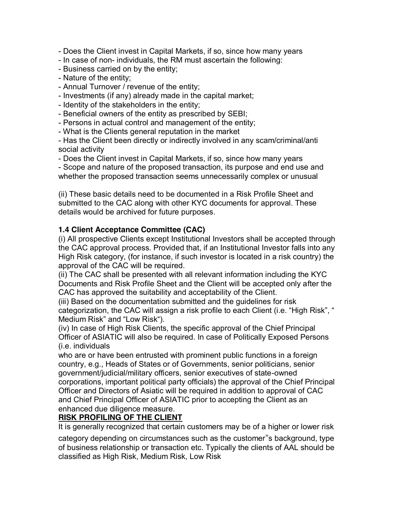- Does the Client invest in Capital Markets, if so, since how many years

- In case of non- individuals, the RM must ascertain the following:
- Business carried on by the entity;
- Nature of the entity;
- Annual Turnover / revenue of the entity;
- Investments (if any) already made in the capital market;
- Identity of the stakeholders in the entity;
- Beneficial owners of the entity as prescribed by SEBI;
- Persons in actual control and management of the entity;
- What is the Clients general reputation in the market

- Has the Client been directly or indirectly involved in any scam/criminal/anti social activity

- Does the Client invest in Capital Markets, if so, since how many years

- Scope and nature of the proposed transaction, its purpose and end use and whether the proposed transaction seems unnecessarily complex or unusual

(ii) These basic details need to be documented in a Risk Profile Sheet and submitted to the CAC along with other KYC documents for approval. These details would be archived for future purposes.

## **1.4 Client Acceptance Committee (CAC)**

(i) All prospective Clients except Institutional Investors shall be accepted through the CAC approval process. Provided that, if an Institutional Investor falls into any High Risk category, (for instance, if such investor is located in a risk country) the approval of the CAC will be required.

(ii) The CAC shall be presented with all relevant information including the KYC Documents and Risk Profile Sheet and the Client will be accepted only after the CAC has approved the suitability and acceptability of the Client.

(iii) Based on the documentation submitted and the guidelines for risk categorization, the CAC will assign a risk profile to each Client (i.e. "High Risk", " Medium Risk" and "Low Risk").

(iv) In case of High Risk Clients, the specific approval of the Chief Principal Officer of ASIATIC will also be required. In case of Politically Exposed Persons (i.e. individuals

who are or have been entrusted with prominent public functions in a foreign country, e.g., Heads of States or of Governments, senior politicians, senior government/judicial/military officers, senior executives of state-owned corporations, important political party officials) the approval of the Chief Principal Officer and Directors of Asiatic will be required in addition to approval of CAC and Chief Principal Officer of ASIATIC prior to accepting the Client as an enhanced due diligence measure.

## **RISK PROFILING OF THE CLIENT**

It is generally recognized that certain customers may be of a higher or lower risk

category depending on circumstances such as the customer"s background, type of business relationship or transaction etc. Typically the clients of AAL should be classified as High Risk, Medium Risk, Low Risk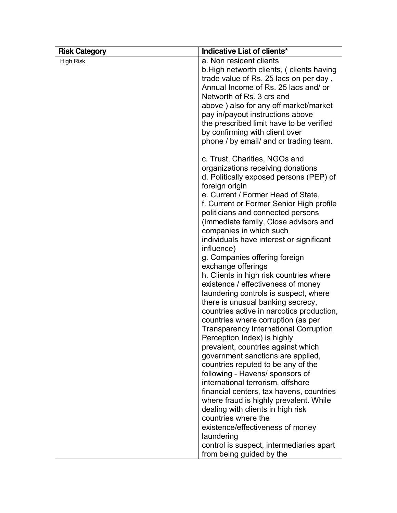| <b>Risk Category</b> | Indicative List of clients*                                           |
|----------------------|-----------------------------------------------------------------------|
| <b>High Risk</b>     | a. Non resident clients                                               |
|                      | b. High networth clients, (clients having                             |
|                      | trade value of Rs. 25 lacs on per day,                                |
|                      | Annual Income of Rs. 25 lacs and/ or                                  |
|                      | Networth of Rs. 3 crs and                                             |
|                      | above) also for any off market/market                                 |
|                      | pay in/payout instructions above                                      |
|                      | the prescribed limit have to be verified                              |
|                      | by confirming with client over                                        |
|                      | phone / by email/ and or trading team.                                |
|                      | c. Trust, Charities, NGOs and                                         |
|                      | organizations receiving donations                                     |
|                      | d. Politically exposed persons (PEP) of                               |
|                      | foreign origin                                                        |
|                      | e. Current / Former Head of State,                                    |
|                      | f. Current or Former Senior High profile                              |
|                      | politicians and connected persons                                     |
|                      | (immediate family, Close advisors and                                 |
|                      | companies in which such                                               |
|                      | individuals have interest or significant                              |
|                      | influence)                                                            |
|                      | g. Companies offering foreign                                         |
|                      | exchange offerings                                                    |
|                      | h. Clients in high risk countries where                               |
|                      | existence / effectiveness of money                                    |
|                      | laundering controls is suspect, where                                 |
|                      | there is unusual banking secrecy,                                     |
|                      | countries active in narcotics production,                             |
|                      | countries where corruption (as per                                    |
|                      | <b>Transparency International Corruption</b>                          |
|                      | Perception Index) is highly                                           |
|                      | prevalent, countries against which                                    |
|                      | government sanctions are applied,                                     |
|                      | countries reputed to be any of the<br>following - Havens/ sponsors of |
|                      | international terrorism, offshore                                     |
|                      | financial centers, tax havens, countries                              |
|                      | where fraud is highly prevalent. While                                |
|                      | dealing with clients in high risk                                     |
|                      | countries where the                                                   |
|                      | existence/effectiveness of money                                      |
|                      | laundering                                                            |
|                      | control is suspect, intermediaries apart                              |
|                      | from being guided by the                                              |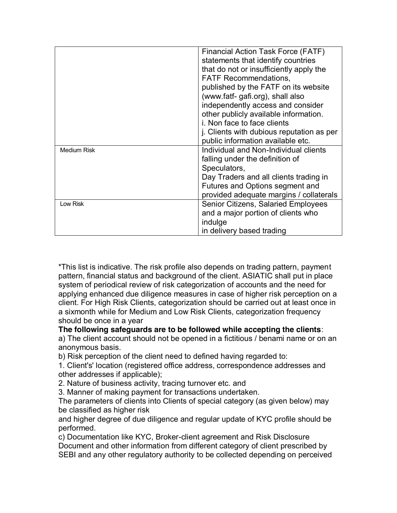|                    | Financial Action Task Force (FATF)         |
|--------------------|--------------------------------------------|
|                    | statements that identify countries         |
|                    | that do not or insufficiently apply the    |
|                    | <b>FATF Recommendations,</b>               |
|                    | published by the FATF on its website       |
|                    | (www.fatf-gafi.org), shall also            |
|                    | independently access and consider          |
|                    | other publicly available information.      |
|                    | i. Non face to face clients                |
|                    | j. Clients with dubious reputation as per  |
|                    | public information available etc.          |
| <b>Medium Risk</b> | Individual and Non-Individual clients      |
|                    | falling under the definition of            |
|                    | Speculators,                               |
|                    | Day Traders and all clients trading in     |
|                    | Futures and Options segment and            |
|                    | provided adequate margins / collaterals    |
| Low Risk           | <b>Senior Citizens, Salaried Employees</b> |
|                    | and a major portion of clients who         |
|                    | indulge                                    |
|                    | in delivery based trading                  |

\*This list is indicative. The risk profile also depends on trading pattern, payment pattern, financial status and background of the client. ASIATIC shall put in place system of periodical review of risk categorization of accounts and the need for applying enhanced due diligence measures in case of higher risk perception on a client. For High Risk Clients, categorization should be carried out at least once in a sixmonth while for Medium and Low Risk Clients, categorization frequency should be once in a year

**The following safeguards are to be followed while accepting the clients**:

a) The client account should not be opened in a fictitious / benami name or on an anonymous basis.

b) Risk perception of the client need to defined having regarded to:

1. Client's' location (registered office address, correspondence addresses and other addresses if applicable);

2. Nature of business activity, tracing turnover etc. and

3. Manner of making payment for transactions undertaken.

The parameters of clients into Clients of special category (as given below) may be classified as higher risk

and higher degree of due diligence and regular update of KYC profile should be performed.

c) Documentation like KYC, Broker-client agreement and Risk Disclosure Document and other information from different category of client prescribed by SEBI and any other regulatory authority to be collected depending on perceived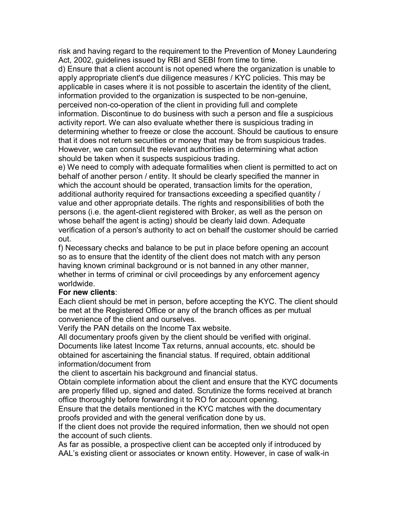risk and having regard to the requirement to the Prevention of Money Laundering Act, 2002, guidelines issued by RBI and SEBI from time to time.

d) Ensure that a client account is not opened where the organization is unable to apply appropriate client's due diligence measures / KYC policies. This may be applicable in cases where it is not possible to ascertain the identity of the client, information provided to the organization is suspected to be non-genuine, perceived non-co-operation of the client in providing full and complete information. Discontinue to do business with such a person and file a suspicious activity report. We can also evaluate whether there is suspicious trading in determining whether to freeze or close the account. Should be cautious to ensure that it does not return securities or money that may be from suspicious trades. However, we can consult the relevant authorities in determining what action should be taken when it suspects suspicious trading.

e) We need to comply with adequate formalities when client is permitted to act on behalf of another person / entity. It should be clearly specified the manner in which the account should be operated, transaction limits for the operation, additional authority required for transactions exceeding a specified quantity / value and other appropriate details. The rights and responsibilities of both the persons (i.e. the agent-client registered with Broker, as well as the person on whose behalf the agent is acting) should be clearly laid down. Adequate verification of a person's authority to act on behalf the customer should be carried out.

f) Necessary checks and balance to be put in place before opening an account so as to ensure that the identity of the client does not match with any person having known criminal background or is not banned in any other manner, whether in terms of criminal or civil proceedings by any enforcement agency worldwide.

## **For new clients**:

Each client should be met in person, before accepting the KYC. The client should be met at the Registered Office or any of the branch offices as per mutual convenience of the client and ourselves.

Verify the PAN details on the Income Tax website.

All documentary proofs given by the client should be verified with original. Documents like latest Income Tax returns, annual accounts, etc. should be obtained for ascertaining the financial status. If required, obtain additional information/document from

the client to ascertain his background and financial status.

Obtain complete information about the client and ensure that the KYC documents are properly filled up, signed and dated. Scrutinize the forms received at branch office thoroughly before forwarding it to RO for account opening.

Ensure that the details mentioned in the KYC matches with the documentary proofs provided and with the general verification done by us.

If the client does not provide the required information, then we should not open the account of such clients.

As far as possible, a prospective client can be accepted only if introduced by AAL's existing client or associates or known entity. However, in case of walk-in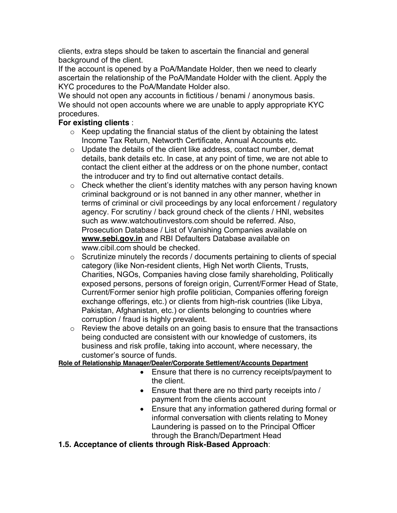clients, extra steps should be taken to ascertain the financial and general background of the client.

If the account is opened by a PoA/Mandate Holder, then we need to clearly ascertain the relationship of the PoA/Mandate Holder with the client. Apply the KYC procedures to the PoA/Mandate Holder also.

We should not open any accounts in fictitious / benami / anonymous basis. We should not open accounts where we are unable to apply appropriate KYC procedures.

# **For existing clients** :

- $\circ$  Keep updating the financial status of the client by obtaining the latest Income Tax Return, Networth Certificate, Annual Accounts etc.
- $\circ$  Update the details of the client like address, contact number, demat details, bank details etc. In case, at any point of time, we are not able to contact the client either at the address or on the phone number, contact the introducer and try to find out alternative contact details.
- $\circ$  Check whether the client's identity matches with any person having known criminal background or is not banned in any other manner, whether in terms of criminal or civil proceedings by any local enforcement / regulatory agency. For scrutiny / back ground check of the clients / HNI, websites such as www.watchoutinvestors.com should be referred. Also, Prosecution Database / List of Vanishing Companies available on **www.sebi.gov.in** and RBI Defaulters Database available on www.cibil.com should be checked.
- o Scrutinize minutely the records / documents pertaining to clients of special category (like Non-resident clients, High Net worth Clients, Trusts, Charities, NGOs, Companies having close family shareholding, Politically exposed persons, persons of foreign origin, Current/Former Head of State, Current/Former senior high profile politician, Companies offering foreign exchange offerings, etc.) or clients from high-risk countries (like Libya, Pakistan, Afghanistan, etc.) or clients belonging to countries where corruption / fraud is highly prevalent.
- $\circ$  Review the above details on an going basis to ensure that the transactions being conducted are consistent with our knowledge of customers, its business and risk profile, taking into account, where necessary, the customer's source of funds.

## **Role of Relationship Manager/Dealer/Corporate Settlement/Accounts Department**

- Ensure that there is no currency receipts/payment to the client.
- $\bullet$  Ensure that there are no third party receipts into / payment from the clients account
- Ensure that any information gathered during formal or informal conversation with clients relating to Money Laundering is passed on to the Principal Officer through the Branch/Department Head
- **1.5. Acceptance of clients through Risk-Based Approach**: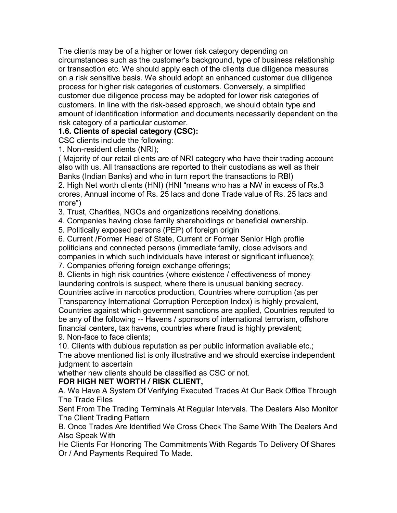The clients may be of a higher or lower risk category depending on circumstances such as the customer's background, type of business relationship or transaction etc. We should apply each of the clients due diligence measures on a risk sensitive basis. We should adopt an enhanced customer due diligence process for higher risk categories of customers. Conversely, a simplified customer due diligence process may be adopted for lower risk categories of customers. In line with the risk-based approach, we should obtain type and amount of identification information and documents necessarily dependent on the risk category of a particular customer.

# **1.6. Clients of special category (CSC):**

CSC clients include the following:

1. Non-resident clients (NRI);

( Majority of our retail clients are of NRI category who have their trading account also with us. All transactions are reported to their custodians as well as their Banks (Indian Banks) and who in turn report the transactions to RBI)

2. High Net worth clients (HNI) (HNI "means who has a NW in excess of Rs.3 crores, Annual income of Rs. 25 lacs and done Trade value of Rs. 25 lacs and more")

3. Trust, Charities, NGOs and organizations receiving donations.

4. Companies having close family shareholdings or beneficial ownership.

5. Politically exposed persons (PEP) of foreign origin

6. Current /Former Head of State, Current or Former Senior High profile politicians and connected persons (immediate family, close advisors and companies in which such individuals have interest or significant influence); 7. Companies offering foreign exchange offerings;

8. Clients in high risk countries (where existence / effectiveness of money

laundering controls is suspect, where there is unusual banking secrecy.

Countries active in narcotics production, Countries where corruption (as per Transparency International Corruption Perception Index) is highly prevalent, Countries against which government sanctions are applied, Countries reputed to be any of the following -- Havens / sponsors of international terrorism, offshore financial centers, tax havens, countries where fraud is highly prevalent;

9. Non-face to face clients;

10. Clients with dubious reputation as per public information available etc.;

The above mentioned list is only illustrative and we should exercise independent judgment to ascertain

whether new clients should be classified as CSC or not.

## **FOR HIGH NET WORTH / RISK CLIENT,**

A. We Have A System Of Verifying Executed Trades At Our Back Office Through The Trade Files

Sent From The Trading Terminals At Regular Intervals. The Dealers Also Monitor The Client Trading Pattern

B. Once Trades Are Identified We Cross Check The Same With The Dealers And Also Speak With

He Clients For Honoring The Commitments With Regards To Delivery Of Shares Or / And Payments Required To Made.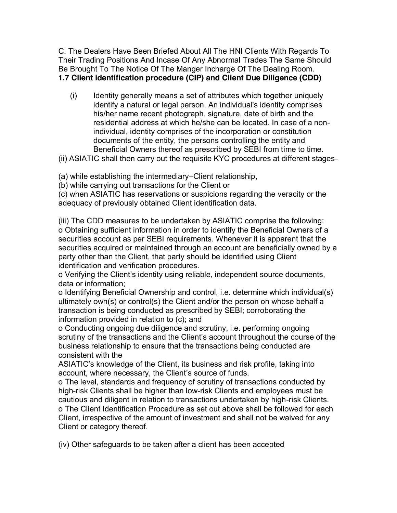C. The Dealers Have Been Briefed About All The HNI Clients With Regards To Their Trading Positions And Incase Of Any Abnormal Trades The Same Should Be Brought To The Notice Of The Manger Incharge Of The Dealing Room. **1.7 Client identification procedure (CIP) and Client Due Diligence (CDD)**

- (i) Identity generally means a set of attributes which together uniquely identify a natural or legal person. An individual's identity comprises his/her name recent photograph, signature, date of birth and the residential address at which he/she can be located. In case of a nonindividual, identity comprises of the incorporation or constitution documents of the entity, the persons controlling the entity and Beneficial Owners thereof as prescribed by SEBI from time to time.
- (ii) ASIATIC shall then carry out the requisite KYC procedures at different stages-

(a) while establishing the intermediary–Client relationship,

(b) while carrying out transactions for the Client or

(c) when ASIATIC has reservations or suspicions regarding the veracity or the adequacy of previously obtained Client identification data.

(iii) The CDD measures to be undertaken by ASIATIC comprise the following: o Obtaining sufficient information in order to identify the Beneficial Owners of a securities account as per SEBI requirements. Whenever it is apparent that the securities acquired or maintained through an account are beneficially owned by a party other than the Client, that party should be identified using Client identification and verification procedures.

o Verifying the Client's identity using reliable, independent source documents, data or information;

o Identifying Beneficial Ownership and control, i.e. determine which individual(s) ultimately own(s) or control(s) the Client and/or the person on whose behalf a transaction is being conducted as prescribed by SEBI; corroborating the information provided in relation to (c); and

o Conducting ongoing due diligence and scrutiny, i.e. performing ongoing scrutiny of the transactions and the Client's account throughout the course of the business relationship to ensure that the transactions being conducted are consistent with the

ASIATIC's knowledge of the Client, its business and risk profile, taking into account, where necessary, the Client's source of funds.

o The level, standards and frequency of scrutiny of transactions conducted by high-risk Clients shall be higher than low-risk Clients and employees must be cautious and diligent in relation to transactions undertaken by high-risk Clients. o The Client Identification Procedure as set out above shall be followed for each Client, irrespective of the amount of investment and shall not be waived for any Client or category thereof.

(iv) Other safeguards to be taken after a client has been accepted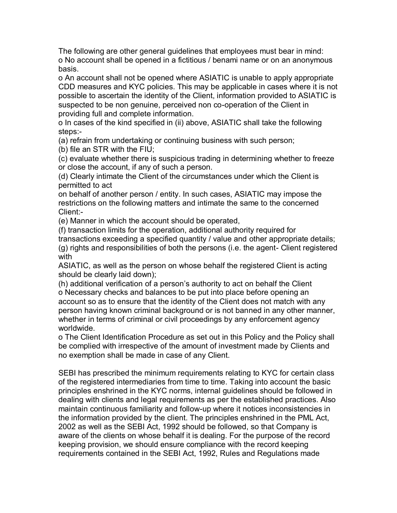The following are other general guidelines that employees must bear in mind: o No account shall be opened in a fictitious / benami name or on an anonymous basis.

o An account shall not be opened where ASIATIC is unable to apply appropriate CDD measures and KYC policies. This may be applicable in cases where it is not possible to ascertain the identity of the Client, information provided to ASIATIC is suspected to be non genuine, perceived non co-operation of the Client in providing full and complete information.

o In cases of the kind specified in (ii) above, ASIATIC shall take the following steps:-

(a) refrain from undertaking or continuing business with such person;

(b) file an STR with the FIU;

(c) evaluate whether there is suspicious trading in determining whether to freeze or close the account, if any of such a person.

(d) Clearly intimate the Client of the circumstances under which the Client is permitted to act

on behalf of another person / entity. In such cases, ASIATIC may impose the restrictions on the following matters and intimate the same to the concerned Client:-

(e) Manner in which the account should be operated,

(f) transaction limits for the operation, additional authority required for

transactions exceeding a specified quantity / value and other appropriate details;

(g) rights and responsibilities of both the persons (i.e. the agent- Client registered with

ASIATIC, as well as the person on whose behalf the registered Client is acting should be clearly laid down);

(h) additional verification of a person's authority to act on behalf the Client o Necessary checks and balances to be put into place before opening an account so as to ensure that the identity of the Client does not match with any person having known criminal background or is not banned in any other manner, whether in terms of criminal or civil proceedings by any enforcement agency worldwide.

o The Client Identification Procedure as set out in this Policy and the Policy shall be complied with irrespective of the amount of investment made by Clients and no exemption shall be made in case of any Client.

SEBI has prescribed the minimum requirements relating to KYC for certain class of the registered intermediaries from time to time. Taking into account the basic principles enshrined in the KYC norms, internal guidelines should be followed in dealing with clients and legal requirements as per the established practices. Also maintain continuous familiarity and follow-up where it notices inconsistencies in the information provided by the client. The principles enshrined in the PML Act, 2002 as well as the SEBI Act, 1992 should be followed, so that Company is aware of the clients on whose behalf it is dealing. For the purpose of the record keeping provision, we should ensure compliance with the record keeping requirements contained in the SEBI Act, 1992, Rules and Regulations made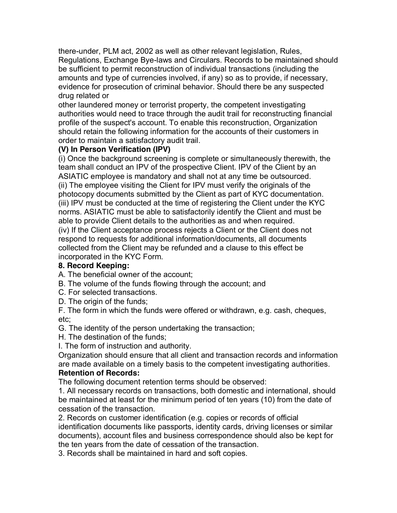there-under, PLM act, 2002 as well as other relevant legislation, Rules, Regulations, Exchange Bye-laws and Circulars. Records to be maintained should be sufficient to permit reconstruction of individual transactions (including the amounts and type of currencies involved, if any) so as to provide, if necessary, evidence for prosecution of criminal behavior. Should there be any suspected drug related or

other laundered money or terrorist property, the competent investigating authorities would need to trace through the audit trail for reconstructing financial profile of the suspect's account. To enable this reconstruction, Organization should retain the following information for the accounts of their customers in order to maintain a satisfactory audit trail.

# **(V) In Person Verification (IPV)**

(i) Once the background screening is complete or simultaneously therewith, the team shall conduct an IPV of the prospective Client. IPV of the Client by an ASIATIC employee is mandatory and shall not at any time be outsourced. (ii) The employee visiting the Client for IPV must verify the originals of the photocopy documents submitted by the Client as part of KYC documentation. (iii) IPV must be conducted at the time of registering the Client under the KYC norms. ASIATIC must be able to satisfactorily identify the Client and must be able to provide Client details to the authorities as and when required. (iv) If the Client acceptance process rejects a Client or the Client does not respond to requests for additional information/documents, all documents collected from the Client may be refunded and a clause to this effect be incorporated in the KYC Form.

# **8. Record Keeping:**

A. The beneficial owner of the account;

B. The volume of the funds flowing through the account; and

- C. For selected transactions.
- D. The origin of the funds;

F. The form in which the funds were offered or withdrawn, e.g. cash, cheques, etc;

G. The identity of the person undertaking the transaction;

H. The destination of the funds;

I. The form of instruction and authority.

Organization should ensure that all client and transaction records and information are made available on a timely basis to the competent investigating authorities. **Retention of Records:**

The following document retention terms should be observed:

1. All necessary records on transactions, both domestic and international, should be maintained at least for the minimum period of ten years (10) from the date of cessation of the transaction.

2. Records on customer identification (e.g. copies or records of official identification documents like passports, identity cards, driving licenses or similar documents), account files and business correspondence should also be kept for the ten years from the date of cessation of the transaction.

3. Records shall be maintained in hard and soft copies.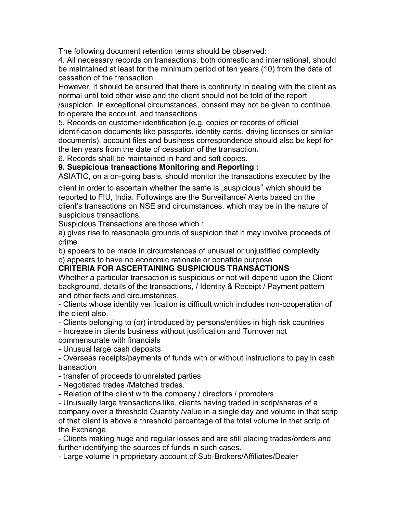The following document retention terms should be observed:

4. All necessary records on transactions, both domestic and international, should be maintained at least for the minimum period of ten years (10) from the date of cessation of the transaction.

However, it should be ensured that there is continuity in dealing with the client as normal until told other wise and the client should not be told of the report /suspicion. In exceptional circumstances, consent may not be given to continue to operate the account, and transactions

5. Records on customer identification (e.g. copies or records of official identification documents like passports, identity cards, driving licenses or similar documents), account files and business correspondence should also be kept for the ten years from the date of cessation of the transaction.

6. Records shall be maintained in hard and soft copies.

**9. Suspicious transactions Monitoring and Reporting :**

ASIATIC, on a on-going basis, should monitor the transactions executed by the

client in order to ascertain whether the same is "suspicious" which should be reported to FIU, India. Followings are the Surveillance/ Alerts based on the client's transactions on NSE and circumstances, which may be in the nature of suspicious transactions.

Suspicious Transactions are those which :

a) gives rise to reasonable grounds of suspicion that it may involve proceeds of crime

b) appears to be made in circumstances of unusual or unjustified complexity c) appears to have no economic rationale or bonafide purpose

# **CRITERIA FOR ASCERTAINING SUSPICIOUS TRANSACTIONS**

Whether a particular transaction is suspicious or not will depend upon the Client background, details of the transactions, / Identity & Receipt / Payment pattern and other facts and circumstances.

- Clients whose identity verification is difficult which includes non-cooperation of the client also.

- Clients belonging to (or) introduced by persons/entities in high risk countries

- Increase in clients business without justification and Turnover not

commensurate with financials

- Unusual large cash deposits

- Overseas receipts/payments of funds with or without instructions to pay in cash transaction

- transfer of proceeds to unrelated parties

- Negotiated trades /Matched trades.

- Relation of the client with the company / directors / promoters

- Unusually large transactions like, clients having traded in scrip/shares of a company over a threshold Quantity /value in a single day and volume in that scrip of that client is above a threshold percentage of the total volume in that scrip of the Exchange.

- Clients making huge and regular losses and are still placing trades/orders and further identifying the sources of funds in such cases.

- Large volume in proprietary account of Sub-Brokers/Affiliates/Dealer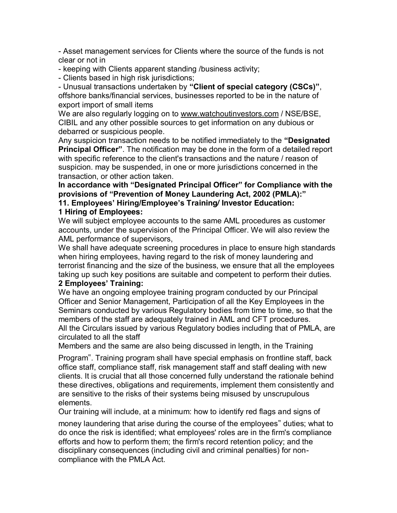- Asset management services for Clients where the source of the funds is not clear or not in

- keeping with Clients apparent standing /business activity;
- Clients based in high risk jurisdictions;

- Unusual transactions undertaken by **"Client of special category (CSCs)"**, offshore banks/financial services, businesses reported to be in the nature of export import of small items

We are also regularly logging on to www.watchoutinvestors.com / NSE/BSE, CIBIL and any other possible sources to get information on any dubious or debarred or suspicious people.

Any suspicion transaction needs to be notified immediately to the **"Designated Principal Officer"**. The notification may be done in the form of a detailed report with specific reference to the client's transactions and the nature / reason of suspicion. may be suspended, in one or more jurisdictions concerned in the transaction, or other action taken.

**In accordance with "Designated Principal Officer" for Compliance with the provisions of "Prevention of Money Laundering Act, 2002 (PMLA):" 11. Employees' Hiring/Employee's Training/ Investor Education:**

#### **1 Hiring of Employees:**

We will subject employee accounts to the same AML procedures as customer accounts, under the supervision of the Principal Officer. We will also review the AML performance of supervisors,

We shall have adequate screening procedures in place to ensure high standards when hiring employees, having regard to the risk of money laundering and terrorist financing and the size of the business, we ensure that all the employees taking up such key positions are suitable and competent to perform their duties.

#### **2 Employees' Training:**

We have an ongoing employee training program conducted by our Principal Officer and Senior Management, Participation of all the Key Employees in the Seminars conducted by various Regulatory bodies from time to time, so that the members of the staff are adequately trained in AML and CFT procedures. All the Circulars issued by various Regulatory bodies including that of PMLA, are circulated to all the staff

Members and the same are also being discussed in length, in the Training

Program". Training program shall have special emphasis on frontline staff, back office staff, compliance staff, risk management staff and staff dealing with new clients. It is crucial that all those concerned fully understand the rationale behind these directives, obligations and requirements, implement them consistently and are sensitive to the risks of their systems being misused by unscrupulous elements.

Our training will include, at a minimum: how to identify red flags and signs of

money laundering that arise during the course of the employees" duties; what to do once the risk is identified; what employees' roles are in the firm's compliance efforts and how to perform them; the firm's record retention policy; and the disciplinary consequences (including civil and criminal penalties) for noncompliance with the PMLA Act.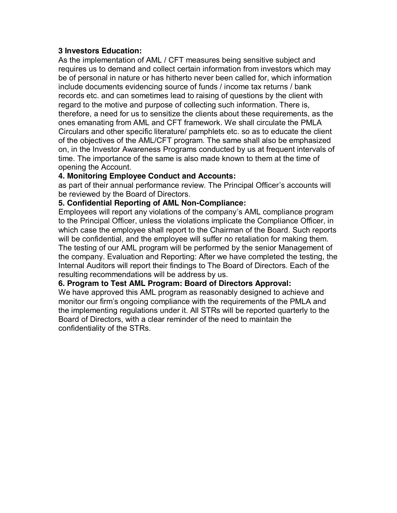#### **3 Investors Education:**

As the implementation of AML / CFT measures being sensitive subject and requires us to demand and collect certain information from investors which may be of personal in nature or has hitherto never been called for, which information include documents evidencing source of funds / income tax returns / bank records etc. and can sometimes lead to raising of questions by the client with regard to the motive and purpose of collecting such information. There is, therefore, a need for us to sensitize the clients about these requirements, as the ones emanating from AML and CFT framework. We shall circulate the PMLA Circulars and other specific literature/ pamphlets etc. so as to educate the client of the objectives of the AML/CFT program. The same shall also be emphasized on, in the Investor Awareness Programs conducted by us at frequent intervals of time. The importance of the same is also made known to them at the time of opening the Account.

#### **4. Monitoring Employee Conduct and Accounts:**

as part of their annual performance review. The Principal Officer's accounts will be reviewed by the Board of Directors.

#### **5. Confidential Reporting of AML Non-Compliance:**

Employees will report any violations of the company's AML compliance program to the Principal Officer, unless the violations implicate the Compliance Officer, in which case the employee shall report to the Chairman of the Board. Such reports will be confidential, and the employee will suffer no retaliation for making them. The testing of our AML program will be performed by the senior Management of the company. Evaluation and Reporting: After we have completed the testing, the Internal Auditors will report their findings to The Board of Directors. Each of the resulting recommendations will be address by us.

#### **6. Program to Test AML Program: Board of Directors Approval:**

We have approved this AML program as reasonably designed to achieve and monitor our firm's ongoing compliance with the requirements of the PMLA and the implementing regulations under it. All STRs will be reported quarterly to the Board of Directors, with a clear reminder of the need to maintain the confidentiality of the STRs.